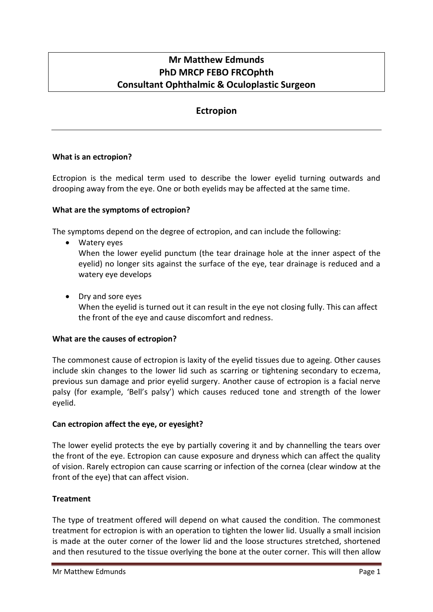# **Mr Matthew Edmunds PhD MRCP FEBO FRCOphth Consultant Ophthalmic & Oculoplastic Surgeon**

## **Ectropion**

## **What is an ectropion?**

Ectropion is the medical term used to describe the lower eyelid turning outwards and drooping away from the eye. One or both eyelids may be affected at the same time.

#### **What are the symptoms of ectropion?**

The symptoms depend on the degree of ectropion, and can include the following:

• Watery eyes

When the lower eyelid punctum (the tear drainage hole at the inner aspect of the eyelid) no longer sits against the surface of the eye, tear drainage is reduced and a watery eye develops

• Dry and sore eyes

When the eyelid is turned out it can result in the eye not closing fully. This can affect the front of the eye and cause discomfort and redness.

#### **What are the causes of ectropion?**

The commonest cause of ectropion is laxity of the eyelid tissues due to ageing. Other causes include skin changes to the lower lid such as scarring or tightening secondary to eczema, previous sun damage and prior eyelid surgery. Another cause of ectropion is a facial nerve palsy (for example, 'Bell's palsy') which causes reduced tone and strength of the lower eyelid.

#### **Can ectropion affect the eye, or eyesight?**

The lower eyelid protects the eye by partially covering it and by channelling the tears over the front of the eye. Ectropion can cause exposure and dryness which can affect the quality of vision. Rarely ectropion can cause scarring or infection of the cornea (clear window at the front of the eye) that can affect vision.

## **Treatment**

The type of treatment offered will depend on what caused the condition. The commonest treatment for ectropion is with an operation to tighten the lower lid. Usually a small incision is made at the outer corner of the lower lid and the loose structures stretched, shortened and then resutured to the tissue overlying the bone at the outer corner. This will then allow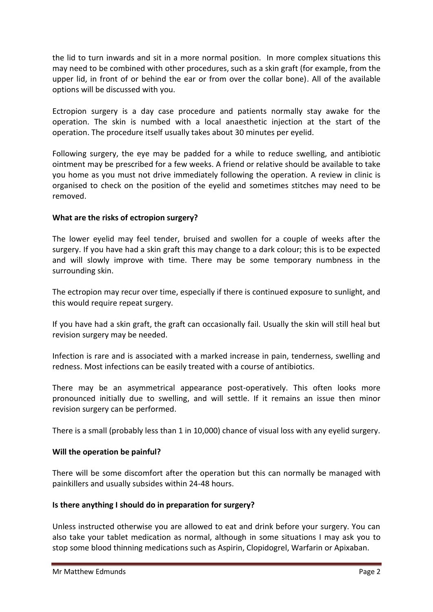the lid to turn inwards and sit in a more normal position. In more complex situations this may need to be combined with other procedures, such as a skin graft (for example, from the upper lid, in front of or behind the ear or from over the collar bone). All of the available options will be discussed with you.

Ectropion surgery is a day case procedure and patients normally stay awake for the operation. The skin is numbed with a local anaesthetic injection at the start of the operation. The procedure itself usually takes about 30 minutes per eyelid.

Following surgery, the eye may be padded for a while to reduce swelling, and antibiotic ointment may be prescribed for a few weeks. A friend or relative should be available to take you home as you must not drive immediately following the operation. A review in clinic is organised to check on the position of the eyelid and sometimes stitches may need to be removed.

## **What are the risks of ectropion surgery?**

The lower eyelid may feel tender, bruised and swollen for a couple of weeks after the surgery. If you have had a skin graft this may change to a dark colour; this is to be expected and will slowly improve with time. There may be some temporary numbness in the surrounding skin.

The ectropion may recur over time, especially if there is continued exposure to sunlight, and this would require repeat surgery.

If you have had a skin graft, the graft can occasionally fail. Usually the skin will still heal but revision surgery may be needed.

Infection is rare and is associated with a marked increase in pain, tenderness, swelling and redness. Most infections can be easily treated with a course of antibiotics.

There may be an asymmetrical appearance post-operatively. This often looks more pronounced initially due to swelling, and will settle. If it remains an issue then minor revision surgery can be performed.

There is a small (probably less than 1 in 10,000) chance of visual loss with any eyelid surgery.

## **Will the operation be painful?**

There will be some discomfort after the operation but this can normally be managed with painkillers and usually subsides within 24-48 hours.

## **Is there anything I should do in preparation for surgery?**

Unless instructed otherwise you are allowed to eat and drink before your surgery. You can also take your tablet medication as normal, although in some situations I may ask you to stop some blood thinning medications such as Aspirin, Clopidogrel, Warfarin or Apixaban.